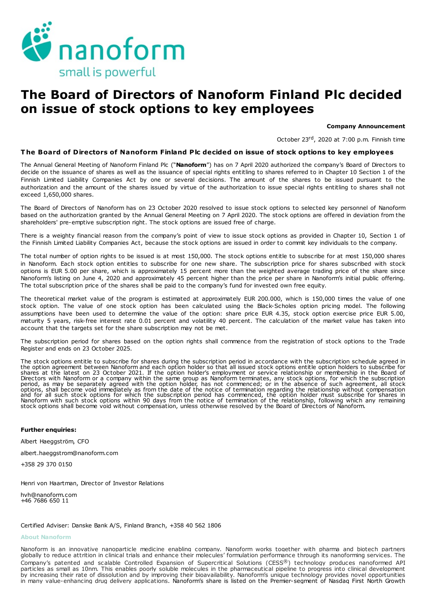

# The Board of Directors of Nanoform Finland Plc decided on issue of stock options to key employees

#### Company Announcement

October 23<sup>rd</sup>, 2020 at 7:00 p.m. Finnish time

## T he Board of Directors of Nanoform Finland Plc decided on issue of stock options to key employees

The Annual General Meeting of Nanoform Finland Plc ("Nanoform") has on 7 April 2020 authorized the company's Board of Directors to decide on the issuance of shares as well as the issuance of special rights entitling to shares referred to in Chapter 10 Section 1 of the Finnish Limited Liability Companies Act by one or several decisions. The amount of the shares to be issued pursuant to the authorization and the amount of the shares issued by virtue of the authorization to issue special rights entitling to shares shall not exceed 1,650,000 shares.

The Board of Directors of Nanoform has on 23 October 2020 resolved to issue stock options to selected key personnel of Nanoform based on the authorization granted by the Annual General Meeting on 7 April 2020. The stock options are offered in deviation from the shareholders' pre-emptive subscription right. The stock options are issued free of charge.

There is a weighty financial reason from the company's point of view to issue stock options as provided in Chapter 10, Section 1 of the Finnish Limited Liability Companies Act, because the stock options are issued in order to commit key individuals to the company.

The total number of option rights to be issued is at most 150,000. The stock options entitle to subscribe for at most 150,000 shares in Nanoform. Each stock option entitles to subscribe for one new share. The subscription price for shares subscribed with stock options is EUR 5.00 per share, which is approximately 15 percent more than the weighted average trading price of the share since Nanoform's listing on June 4, 2020 and approximately 45 percent higher than the price per share in Nanoform's initial public offering. The total subscription price of the shares shall be paid to the company's fund for invested own free equity.

The theoretical market value of the program is estimated at approximately EUR 200.000, which is 150,000 times the value of one stock option. The value of one stock option has been calculated using the Black-Scholes option pricing model. The following assumptions have been used to determine the value of the option: share price EUR 4.35, stock option exercise price EUR 5.00, maturity 5 years, risk-free interest rate 0.01 percent and volatility 40 percent. The calculation of the market value has taken into account that the targets set for the share subscription may not be met.

The subscription period for shares based on the option rights shall commence from the registration of stock options to the Trade Register and ends on 23 October 2025.

The stock options entitle to subscribe for shares during the subscription period in accordance with the subscription schedule agreed in the option agreement between Nanoform and each option holder so that all issued stock options entitle option holders to subscribe for<br>Shares at the latest on 23 October 2021. If the option holder's employment or service re and for all such stock options for which the subscription period has commenced, the option holder must subscribe for shares in<br>Nanoform with such stock options within 90 days from the notice of termination of the relations

#### Further enquiries:

Albert Haeggström, CFO

albert.haeggstrom@nanoform.com

+358 29 370 0150

Henri von Haartman, Director of Investor Relations

hvh@nanoform.com +46 7686 650 11

#### Certified Adviser: Danske Bank A/S, Finland Branch, +358 40 562 1806

### About Nanoform

Nanoform is an innovative nanoparticle medicine enabling company. Nanoform works together with pharma and biotech partners globally to reduce attrition in clinical trials and enhance their molecules' formulation performance through its nanoforming services. The Company's patented and scalable Controlled Expansion of Supercritical Solutions (CESS®) technology produces nanoformed API particles as small as 10nm. This enables poorly soluble molecules in the pharmaceutical pipeline to progress into clinical development by increasing their rate of dissolution and by improving their bioavailability. Nanoform's unique technology provides novel opportunities in many value-enhancing drug delivery applications. Nanoform's share is listed on the Premier-segment of Nasdaq First North Growth